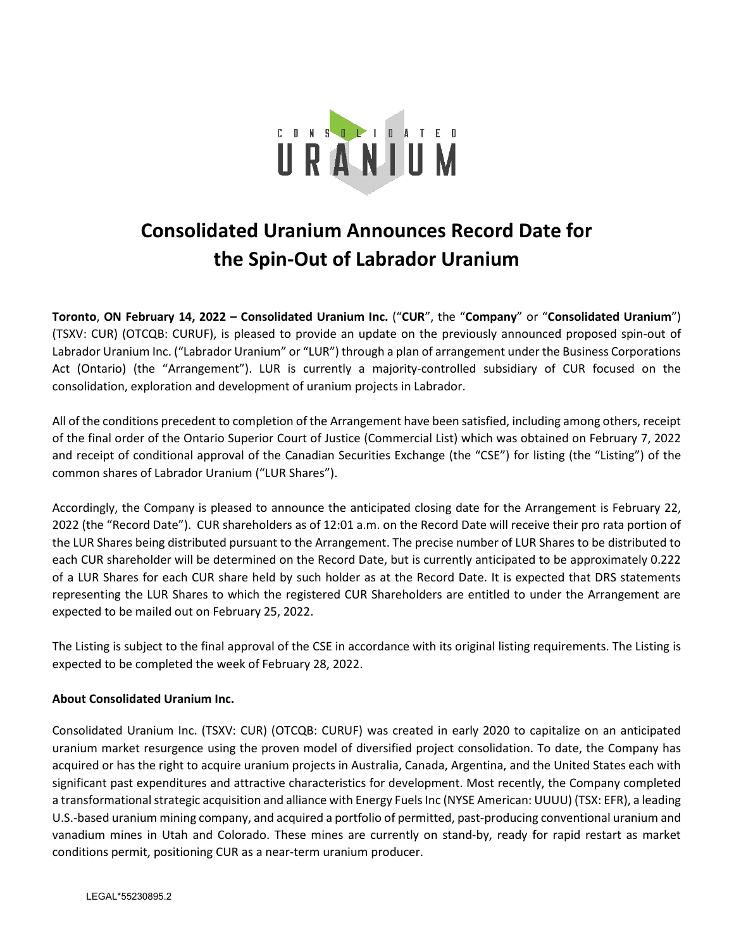

## **Consolidated Uranium Announces Record Date for the Spin-Out of Labrador Uranium**

**Toronto**, **ON February 14, 2022 – Consolidated Uranium Inc.** ("**CUR**", the "**Company**" or "**Consolidated Uranium**") (TSXV: CUR) (OTCQB: CURUF), is pleased to provide an update on the previously announced proposed spin-out of Labrador Uranium Inc. ("Labrador Uranium" or "LUR") through a plan of arrangement under the Business Corporations Act (Ontario) (the "Arrangement"). LUR is currently a majority-controlled subsidiary of CUR focused on the consolidation, exploration and development of uranium projects in Labrador.

All of the conditions precedent to completion of the Arrangement have been satisfied, including among others, receipt of the final order of the Ontario Superior Court of Justice (Commercial List) which was obtained on February 7, 2022 and receipt of conditional approval of the Canadian Securities Exchange (the "CSE") for listing (the "Listing") of the common shares of Labrador Uranium ("LUR Shares").

Accordingly, the Company is pleased to announce the anticipated closing date for the Arrangement is February 22, 2022 (the "Record Date"). CUR shareholders as of 12:01 a.m. on the Record Date will receive their pro rata portion of the LUR Shares being distributed pursuant to the Arrangement. The precise number of LUR Shares to be distributed to each CUR shareholder will be determined on the Record Date, but is currently anticipated to be approximately 0.222 of a LUR Shares for each CUR share held by such holder as at the Record Date. It is expected that DRS statements representing the LUR Shares to which the registered CUR Shareholders are entitled to under the Arrangement are expected to be mailed out on February 25, 2022.

The Listing is subject to the final approval of the CSE in accordance with its original listing requirements. The Listing is expected to be completed the week of February 28, 2022.

## **About Consolidated Uranium Inc.**

Consolidated Uranium Inc. (TSXV: CUR) (OTCQB: CURUF) was created in early 2020 to capitalize on an anticipated uranium market resurgence using the proven model of diversified project consolidation. To date, the Company has acquired or has the right to acquire uranium projects in Australia, Canada, Argentina, and the United States each with significant past expenditures and attractive characteristics for development. Most recently, the Company completed a transformational strategic acquisition and alliance with Energy Fuels Inc (NYSE American: UUUU) (TSX: EFR), a leading U.S.-based uranium mining company, and acquired a portfolio of permitted, past-producing conventional uranium and vanadium mines in Utah and Colorado. These mines are currently on stand-by, ready for rapid restart as market conditions permit, positioning CUR as a near-term uranium producer.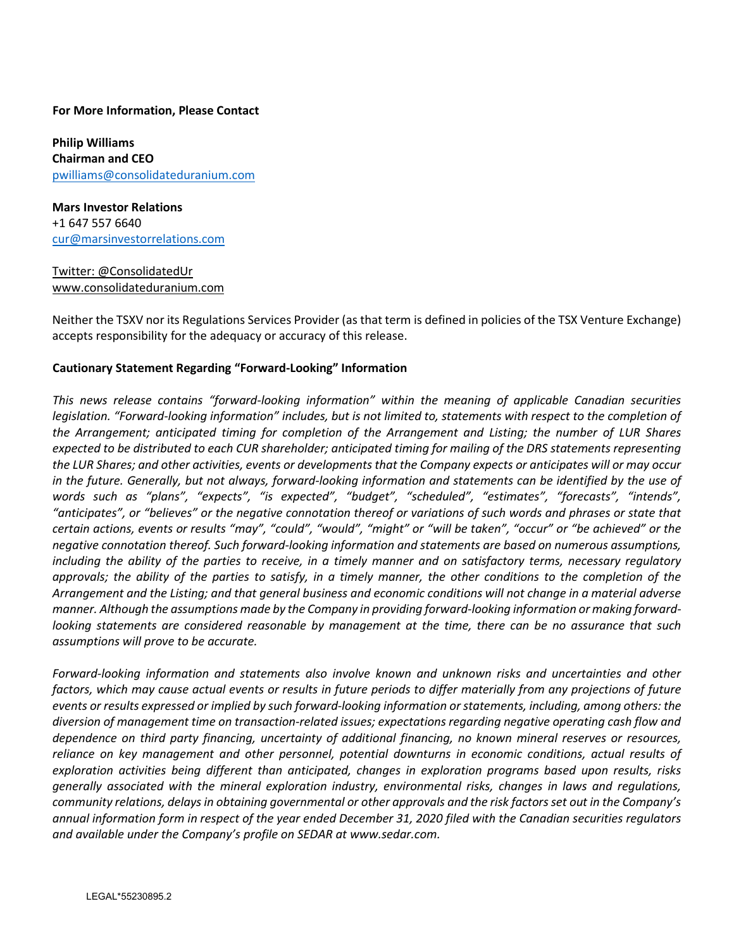## **For More Information, Please Contact**

**Philip Williams Chairman and CEO**  [pwilliams@consolidateduranium.com](mailto:pwilliams@consolidateduranium.com)

**Mars Investor Relations** +1 647 557 6640 [cur@marsinvestorrelations.com](mailto:cur@marsinvestorrelations.com)

Twitter: @ConsolidatedUr www.consolidateduranium.com

Neither the TSXV nor its Regulations Services Provider (as that term is defined in policies of the TSX Venture Exchange) accepts responsibility for the adequacy or accuracy of this release.

## **Cautionary Statement Regarding "Forward-Looking" Information**

*This news release contains "forward-looking information" within the meaning of applicable Canadian securities legislation. "Forward-looking information" includes, but is not limited to, statements with respect to the completion of the Arrangement; anticipated timing for completion of the Arrangement and Listing; the number of LUR Shares expected to be distributed to each CUR shareholder; anticipated timing for mailing of the DRS statements representing the LUR Shares; and other activities, events or developments that the Company expects or anticipates will or may occur in the future. Generally, but not always, forward-looking information and statements can be identified by the use of words such as "plans", "expects", "is expected", "budget", "scheduled", "estimates", "forecasts", "intends", "anticipates", or "believes" or the negative connotation thereof or variations of such words and phrases or state that certain actions, events or results "may", "could", "would", "might" or "will be taken", "occur" or "be achieved" or the negative connotation thereof. Such forward-looking information and statements are based on numerous assumptions, including the ability of the parties to receive, in a timely manner and on satisfactory terms, necessary regulatory approvals; the ability of the parties to satisfy, in a timely manner, the other conditions to the completion of the Arrangement and the Listing; and that general business and economic conditions will not change in a material adverse manner. Although the assumptions made by the Company in providing forward-looking information or making forwardlooking statements are considered reasonable by management at the time, there can be no assurance that such assumptions will prove to be accurate.*

*Forward-looking information and statements also involve known and unknown risks and uncertainties and other factors, which may cause actual events or results in future periods to differ materially from any projections of future events or results expressed or implied by such forward-looking information or statements, including, among others: the diversion of management time on transaction-related issues; expectations regarding negative operating cash flow and dependence on third party financing, uncertainty of additional financing, no known mineral reserves or resources, reliance on key management and other personnel, potential downturns in economic conditions, actual results of exploration activities being different than anticipated, changes in exploration programs based upon results, risks generally associated with the mineral exploration industry, environmental risks, changes in laws and regulations, community relations, delays in obtaining governmental or other approvals and the risk factors set out in the Company's annual information form in respect of the year ended December 31, 2020 filed with the Canadian securities regulators and available under the Company's profile on SEDAR at www.sedar.com.*